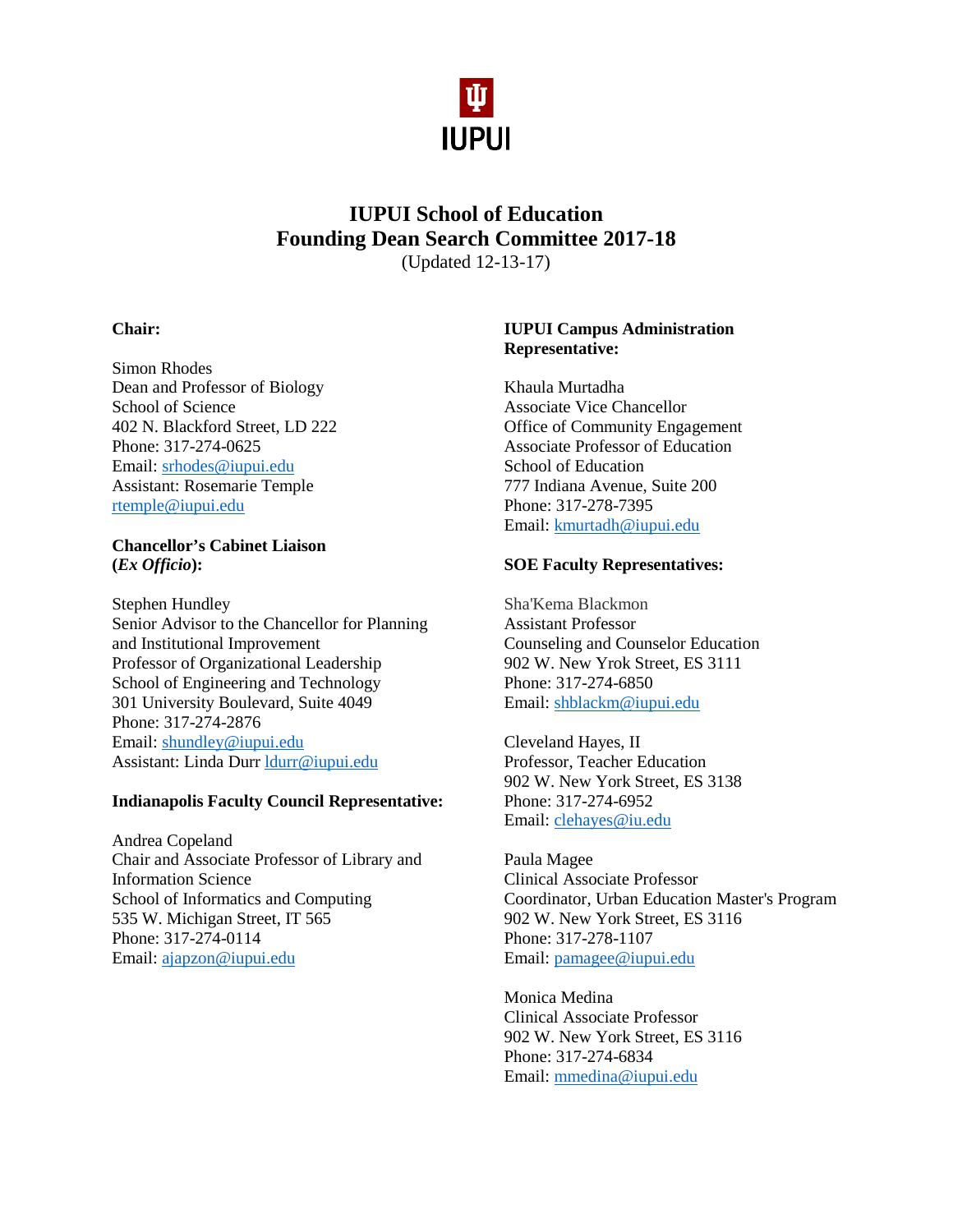

# **IUPUI School of Education Founding Dean Search Committee 2017-18** (Updated 12-13-17)

## **Chair:**

Simon Rhodes Dean and Professor of Biology School of Science 402 N. Blackford Street, LD 222 Phone: 317-274-0625 Email: [srhodes@iupui.edu](mailto:srhodes@iupui.edu) Assistant: Rosemarie Temple [rtemple@iupui.edu](mailto:rtemple@iupui.edu)

#### **Chancellor's Cabinet Liaison (***Ex Officio***):**

Stephen Hundley Senior Advisor to the Chancellor for Planning and Institutional Improvement Professor of Organizational Leadership School of Engineering and Technology 301 University Boulevard, Suite 4049 Phone: 317-274-2876 Email: [shundley@iupui.edu](mailto:shundley@iupui.edu) Assistant: Linda Durr [ldurr@iupui.edu](mailto:ldurr@iupui.edu)

## **Indianapolis Faculty Council Representative:**

Andrea Copeland Chair and Associate Professor of Library and Information Science School of Informatics and Computing 535 W. Michigan Street, IT 565 Phone: 317-274-0114 Email: [ajapzon@iupui.edu](mailto:ajapzon@iupui.edu)

## **IUPUI Campus Administration Representative:**

Khaula Murtadha Associate Vice Chancellor Office of Community Engagement Associate Professor of Education School of Education 777 Indiana Avenue, Suite 200 Phone: 317-278-7395 Email: [kmurtadh@iupui.edu](mailto:kmurtadh@iupui.edu)

#### **SOE Faculty Representatives:**

Sha'Kema Blackmon Assistant Professor Counseling and Counselor Education 902 W. New Yrok Street, ES 3111 Phone: 317-274-6850 Email: [shblackm@iupui.edu](mailto:shblackm@iupui.edu)

Cleveland Hayes, II Professor, Teacher Education 902 W. New York Street, ES 3138 Phone: 317-274-6952 Email: [clehayes@iu.edu](mailto:clehayes@iu.edu)

Paula Magee Clinical Associate Professor Coordinator, Urban Education Master's Program 902 W. New York Street, ES 3116 Phone: 317-278-1107 Email: [pamagee@iupui.edu](mailto:pamagee@iupui.edu)

Monica Medina Clinical Associate Professor 902 W. New York Street, ES 3116 Phone: 317-274-6834 Email: [mmedina@iupui.edu](mailto:mmedina@iupui.edu)